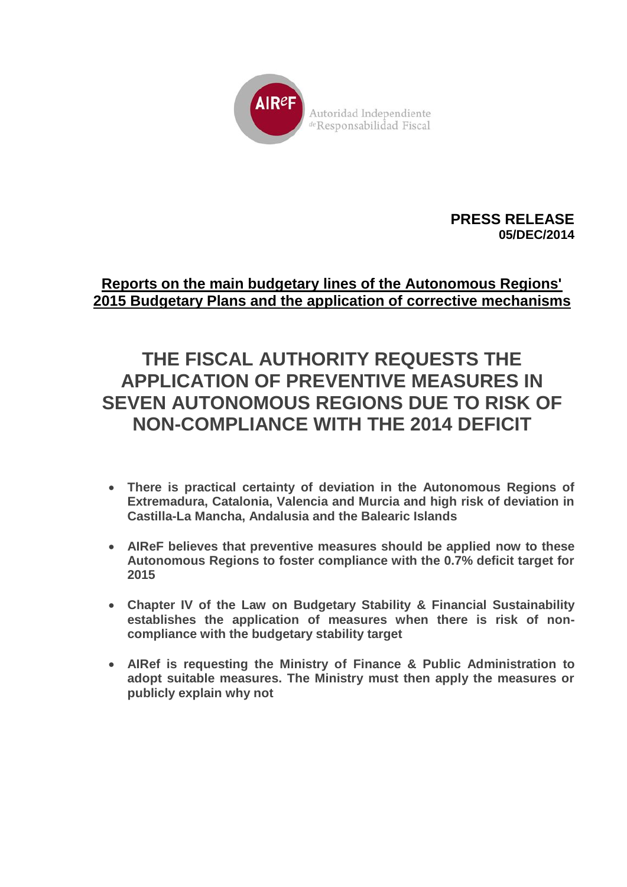

 **PRESS RELEASE 05/DEC/2014**

## **Reports on the main budgetary lines of the Autonomous Regions' 2015 Budgetary Plans and the application of corrective mechanisms**

## **THE FISCAL AUTHORITY REQUESTS THE APPLICATION OF PREVENTIVE MEASURES IN SEVEN AUTONOMOUS REGIONS DUE TO RISK OF NON-COMPLIANCE WITH THE 2014 DEFICIT**

- **There is practical certainty of deviation in the Autonomous Regions of Extremadura, Catalonia, Valencia and Murcia and high risk of deviation in Castilla-La Mancha, Andalusia and the Balearic Islands**
- **AIReF believes that preventive measures should be applied now to these Autonomous Regions to foster compliance with the 0.7% deficit target for 2015**
- **Chapter IV of the Law on Budgetary Stability & Financial Sustainability establishes the application of measures when there is risk of noncompliance with the budgetary stability target**
- **AIRef is requesting the Ministry of Finance & Public Administration to adopt suitable measures. The Ministry must then apply the measures or publicly explain why not**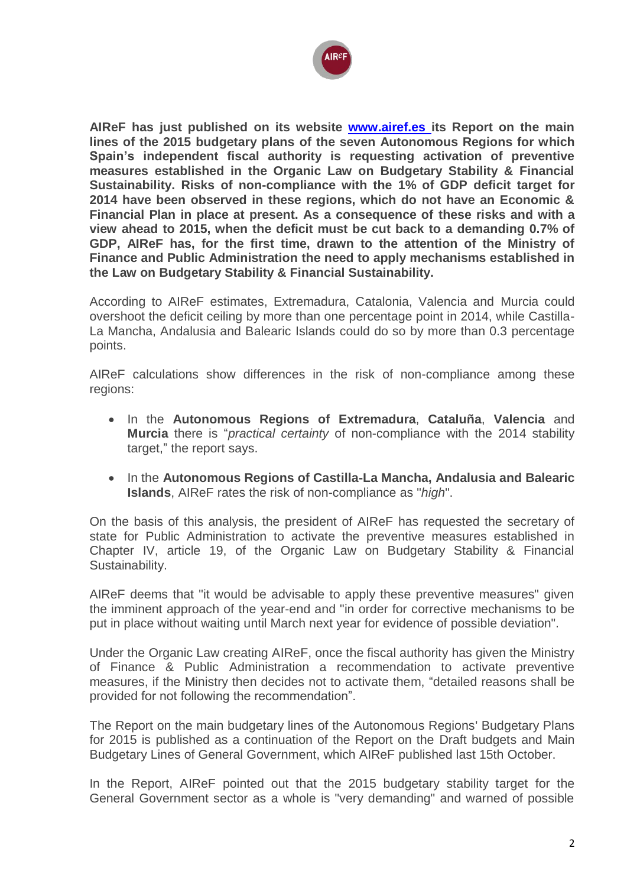

**AIReF has just published on its website [www.airef.es](http://www.airef.es/) its Report on the main lines of the 2015 budgetary plans of the seven Autonomous Regions for which Spain's independent fiscal authority is requesting activation of preventive measures established in the Organic Law on Budgetary Stability & Financial Sustainability. Risks of non-compliance with the 1% of GDP deficit target for 2014 have been observed in these regions, which do not have an Economic & Financial Plan in place at present. As a consequence of these risks and with a view ahead to 2015, when the deficit must be cut back to a demanding 0.7% of GDP, AIReF has, for the first time, drawn to the attention of the Ministry of Finance and Public Administration the need to apply mechanisms established in the Law on Budgetary Stability & Financial Sustainability.** 

According to AIReF estimates, Extremadura, Catalonia, Valencia and Murcia could overshoot the deficit ceiling by more than one percentage point in 2014, while Castilla-La Mancha, Andalusia and Balearic Islands could do so by more than 0.3 percentage points.

AIReF calculations show differences in the risk of non-compliance among these regions:

- In the **Autonomous Regions of Extremadura**, **Cataluña**, **Valencia** and **Murcia** there is "*practical certainty* of non-compliance with the 2014 stability target," the report says.
- In the **Autonomous Regions of Castilla-La Mancha, Andalusia and Balearic Islands**, AIReF rates the risk of non-compliance as "*high*".

On the basis of this analysis, the president of AIReF has requested the secretary of state for Public Administration to activate the preventive measures established in Chapter IV, article 19, of the Organic Law on Budgetary Stability & Financial Sustainability.

AIReF deems that "it would be advisable to apply these preventive measures" given the imminent approach of the year-end and "in order for corrective mechanisms to be put in place without waiting until March next year for evidence of possible deviation".

Under the Organic Law creating AIReF, once the fiscal authority has given the Ministry of Finance & Public Administration a recommendation to activate preventive measures, if the Ministry then decides not to activate them, "detailed reasons shall be provided for not following the recommendation".

The Report on the main budgetary lines of the Autonomous Regions' Budgetary Plans for 2015 is published as a continuation of the Report on the Draft budgets and Main Budgetary Lines of General Government, which AIReF published last 15th October.

In the Report, AIReF pointed out that the 2015 budgetary stability target for the General Government sector as a whole is "very demanding" and warned of possible